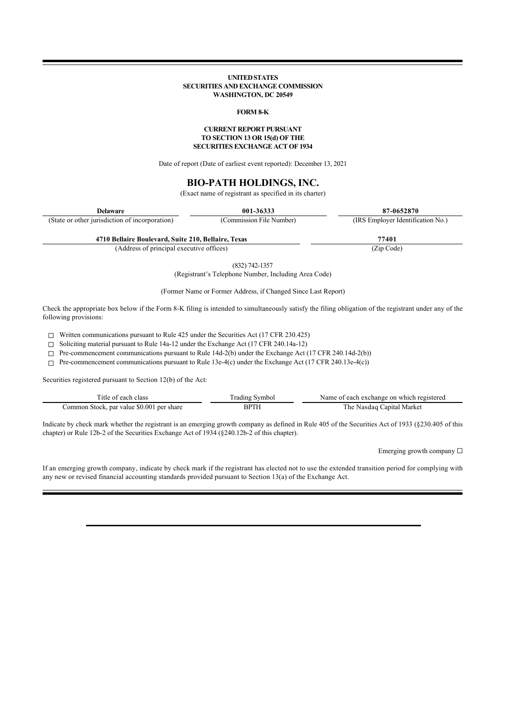## **UNITED STATES SECURITIES AND EXCHANGE COMMISSION WASHINGTON, DC 20549**

## **FORM 8-K**

## **CURRENT REPORT PURSUANT TO SECTION 13 OR 15(d) OF THE SECURITIES EXCHANGE ACT OF 1934**

Date of report (Date of earliest event reported): December 13, 2021

# **BIO-PATH HOLDINGS, INC.**

(Exact name of registrant as specified in its charter)

| <b>Delaware</b>                                     | 001-36333                | 87-0652870                        |
|-----------------------------------------------------|--------------------------|-----------------------------------|
| (State or other jurisdiction of incorporation)      | (Commission File Number) | (IRS Employer Identification No.) |
| 4710 Bellaire Boulevard, Suite 210, Bellaire, Texas |                          | 77401                             |

(Address of principal executive offices) (Zip Code)

(832) 742-1357

(Registrant's Telephone Number, Including Area Code)

(Former Name or Former Address, if Changed Since Last Report)

Check the appropriate box below if the Form 8-K filing is intended to simultaneously satisfy the filing obligation of the registrant under any of the following provisions:

☐ Written communications pursuant to Rule 425 under the Securities Act (17 CFR 230.425)

☐ Soliciting material pursuant to Rule 14a-12 under the Exchange Act (17 CFR 240.14a-12)

 $\Box$  Pre-commencement communications pursuant to Rule 14d-2(b) under the Exchange Act (17 CFR 240.14d-2(b))

 $\Box$  Pre-commencement communications pursuant to Rule 13e-4(c) under the Exchange Act (17 CFR 240.13e-4(c))

Securities registered pursuant to Section 12(b) of the Act:

| 1 I f                                                   |    | . which<br>$\alpha$ n<br>registered<br>rchanoe. |
|---------------------------------------------------------|----|-------------------------------------------------|
| \$0.00?<br>-nar value<br>ommon<br>. ner<br>shar<br>stoc | ч. | Marke<br>`he<br>anıta                           |

Indicate by check mark whether the registrant is an emerging growth company as defined in Rule 405 of the Securities Act of 1933 (§230.405 of this chapter) or Rule 12b-2 of the Securities Exchange Act of 1934 (§240.12b-2 of this chapter).

Emerging growth company  $\Box$ 

If an emerging growth company, indicate by check mark if the registrant has elected not to use the extended transition period for complying with any new or revised financial accounting standards provided pursuant to Section 13(a) of the Exchange Act.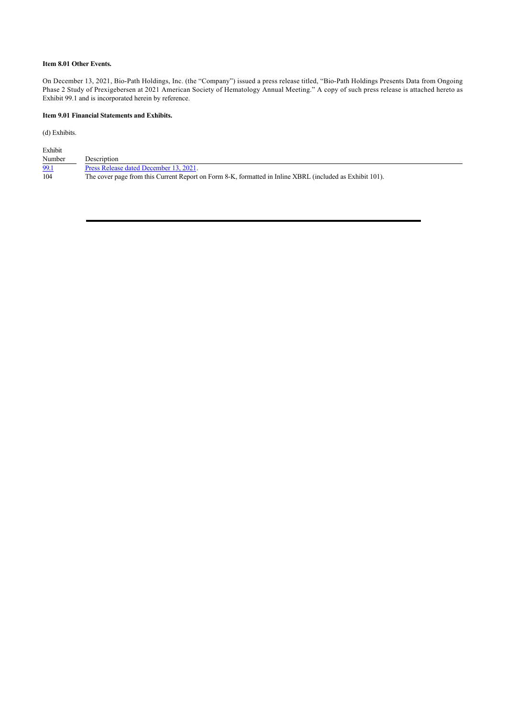# **Item 8.01 Other Events.**

On December 13, 2021, Bio-Path Holdings, Inc. (the "Company") issued a press release titled, "Bio-Path Holdings Presents Data from Ongoing Phase 2 Study of Prexigebersen at 2021 American Society of Hematology Annual Meeting." A copy of such press release is attached hereto as Exhibit 99.1 and is incorporated herein by reference.

# **Item 9.01 Financial Statements and Exhibits.**

(d) Exhibits.

| Exhibit |                                                                                                          |
|---------|----------------------------------------------------------------------------------------------------------|
| Number  | Description                                                                                              |
| 99.1    | Press Release dated December 13, 2021.                                                                   |
| 104     | The cover page from this Current Report on Form 8-K, formatted in Inline XBRL (included as Exhibit 101). |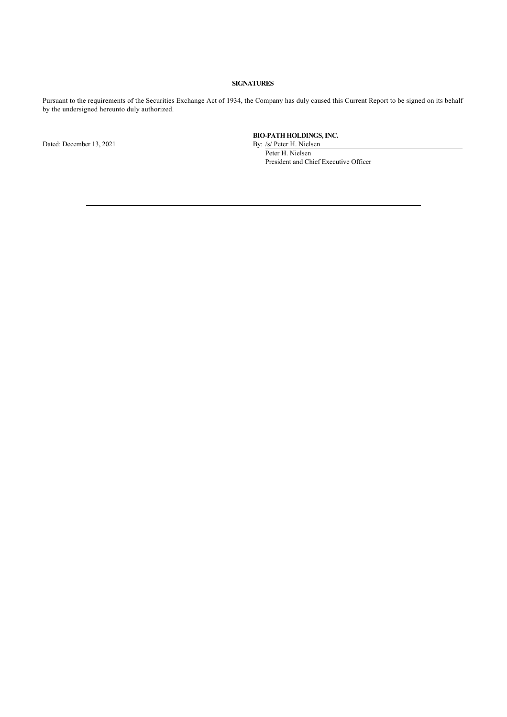# **SIGNATURES**

Pursuant to the requirements of the Securities Exchange Act of 1934, the Company has duly caused this Current Report to be signed on its behalf by the undersigned hereunto duly authorized.

Dated: December 13, 2021 By: /s/ Peter H. Nielsen

**BIO-PATH HOLDINGS, INC.**

Peter H. Nielsen President and Chief Executive Officer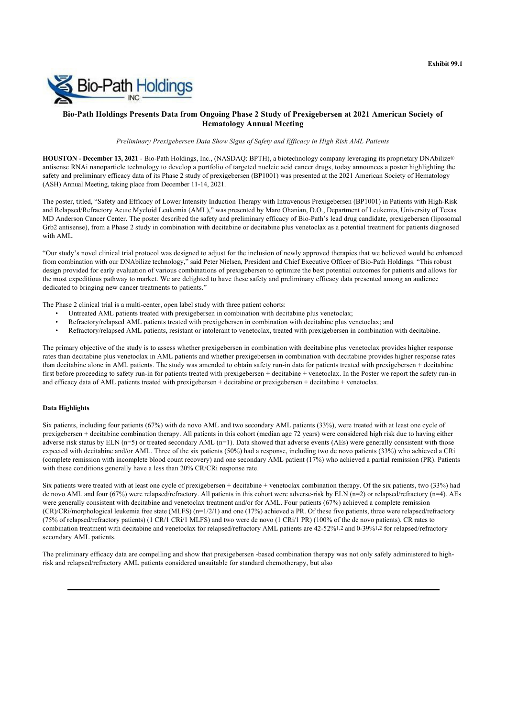

# **Bio-Path Holdings Presents Data from Ongoing Phase 2 Study of Prexigebersen at 2021 American Society of Hematology Annual Meeting**

*Preliminary Prexigebersen Data Show Signs of Safety and Efficacy in High Risk AML Patients*

**HOUSTON - December 13, 2021** - Bio-Path Holdings, Inc., (NASDAQ: BPTH), a biotechnology company leveraging its proprietary DNAbilize® antisense RNAi nanoparticle technology to develop a portfolio of targeted nucleic acid cancer drugs, today announces a poster highlighting the safety and preliminary efficacy data of its Phase 2 study of prexigebersen (BP1001) was presented at the 2021 American Society of Hematology (ASH) Annual Meeting, taking place from December 11-14, 2021.

The poster, titled, "Safety and Efficacy of Lower Intensity Induction Therapy with Intravenous Prexigebersen (BP1001) in Patients with High-Risk and Relapsed/Refractory Acute Myeloid Leukemia (AML)," was presented by Maro Ohanian, D.O., Department of Leukemia, University of Texas MD Anderson Cancer Center. The poster described the safety and preliminary efficacy of Bio-Path's lead drug candidate, prexigebersen (liposomal Grb2 antisense), from a Phase 2 study in combination with decitabine or decitabine plus venetoclax as a potential treatment for patients diagnosed with AML.

"Our study's novel clinical trial protocol was designed to adjust for the inclusion of newly approved therapies that we believed would be enhanced from combination with our DNAbilize technology," said Peter Nielsen, President and Chief Executive Officer of Bio-Path Holdings. "This robust design provided for early evaluation of various combinations of prexigebersen to optimize the best potential outcomes for patients and allows for the most expeditious pathway to market. We are delighted to have these safety and preliminary efficacy data presented among an audience dedicated to bringing new cancer treatments to patients."

The Phase 2 clinical trial is a multi-center, open label study with three patient cohorts:

- Untreated AML patients treated with prexigebersen in combination with decitabine plus venetoclax;
- Refractory/relapsed AML patients treated with prexigebersen in combination with decitabine plus venetoclax; and<br>• Refractory/relapsed AML patients, resistant or intolerant to venetoclax, treated with prexigebersen in com
- Refractory/relapsed AML patients, resistant or intolerant to venetoclax, treated with prexigebersen in combination with decitabine.

The primary objective of the study is to assess whether prexigebersen in combination with decitabine plus venetoclax provides higher response rates than decitabine plus venetoclax in AML patients and whether prexigebersen in combination with decitabine provides higher response rates than decitabine alone in AML patients. The study was amended to obtain safety run-in data for patients treated with prexigebersen + decitabine first before proceeding to safety run-in for patients treated with prexigebersen + decitabine + venetoclax. In the Poster we report the safety run-in and efficacy data of AML patients treated with prexigebersen + decitabine or prexigebersen + decitabine + venetoclax.

## **Data Highlights**

Six patients, including four patients (67%) with de novo AML and two secondary AML patients (33%), were treated with at least one cycle of prexigebersen + decitabine combination therapy. All patients in this cohort (median age 72 years) were considered high risk due to having either adverse risk status by ELN  $(n=5)$  or treated secondary AML  $(n=1)$ . Data showed that adverse events (AEs) were generally consistent with those expected with decitabine and/or AML. Three of the six patients (50%) had a response, including two de novo patients (33%) who achieved a CRi (complete remission with incomplete blood count recovery) and one secondary AML patient (17%) who achieved a partial remission (PR). Patients with these conditions generally have a less than 20% CR/CRi response rate.

Six patients were treated with at least one cycle of prexigebersen + decitabine + venetoclax combination therapy. Of the six patients, two (33%) had de novo AML and four (67%) were relapsed/refractory. All patients in this cohort were adverse-risk by ELN (n=2) or relapsed/refractory (n=4). AEs were generally consistent with decitabine and venetoclax treatment and/or for AML. Four patients (67%) achieved a complete remission  $(CR)/CRi/morphological$  leukemia free state  $(MLFS)$  (n=1/2/1) and one (17%) achieved a PR. Of these five patients, three were relapsed/refractory (75% of relapsed/refractory patients) (1 CR/1 CRi/1 MLFS) and two were de novo (1 CRi/1 PR) (100% of the de novo patients). CR rates to combination treatment with decitabine and venetoclax for relapsed/refractory AML patients are 42-52%1,2 and 0-39%1,2 for relapsed/refractory secondary AML patients.

The preliminary efficacy data are compelling and show that prexigebersen -based combination therapy was not only safely administered to highrisk and relapsed/refractory AML patients considered unsuitable for standard chemotherapy, but also